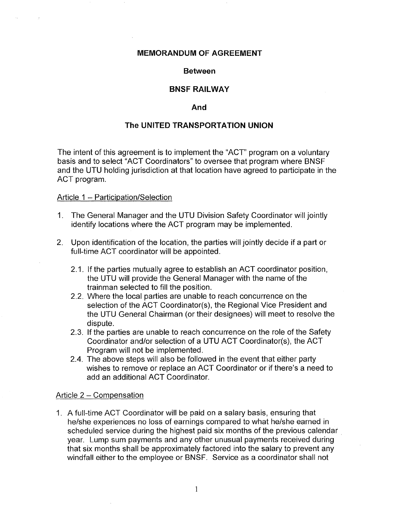#### **MEMORANDUM OF AGREEMENT**

#### **Between**

# **BNSF RAILWAY**

### **And**

# **The UNITED TRANSPORTATION UNION**

The intent of this agreement is to implement the "ACT' program on a voluntary basis and to select "ACT Coordinators" to oversee that program where BNSF and the UTU holding jurisdiction at that location have agreed to participate in the ACT program.

#### Article 1 - Participation/Selection

- 1. The General Manager and the UTU Division Safety Coordinator will jointly identify locations where the ACT program may be implemented.
- 2. Upon identification of the location, the parties will jointly decide if a part or full-time ACT coordinator will be appointed.
	- 2.1. If the parties mutually agree to establish an ACT coordinator position, the UTU will provide the General Manager with the name of the trainman selected to fill the position.
	- 2.2. Where the local parties are unable to reach concurrence on the selection of the ACT Coordinator(s), the Regional Vice President and the UTU General Chairman (or their designees) will meet to resolve the dispute.
	- 2.3. If the parties are unable to reach concurrence on the role of the Safety Coordinator and/or selection of a UTU ACT Coordinator(s), the ACT Program will not be implemented.
	- 2.4. The above steps will also be followed in the event that either party wishes to remove or replace an ACT Coordinator or if there's a need to add an additional ACT Coordinator.

#### Article 2 - Compensation

1. A full-time ACT Coordinator will be paid on a salary basis, ensuring that he/she experiences no loss of earnings compared to what he/she earned in scheduled service during the highest paid six months of the previous calendar . year. Lump sum payments and any other unusual payments received during that six months shall be approximately factored into the salary to prevent any windfall either to the employee or BNSF. Service as a coordinator shall not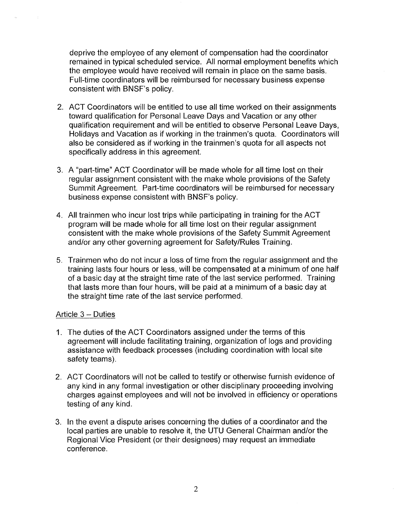deprive the employee of any element of compensation had the coordinator remained in typical scheduled service. All normal employment benefits which the employee would have received will remain in place on the same basis. Full-time coordinators will be reimbursed for necessary business expense consistent with BNSF's policy.

- 2. ACT Coordinators will be entitled to use all time worked on their assignments toward qualification for Personal Leave Days and Vacation or any other qualification requirement and will be entitled to observe Personal Leave Days, Holidays and Vacation as if working in the trainmen's quota. Coordinators will also be considered as if working in the trainmen's quota for all aspects not specifically address in this agreement.
- 3. A "part-time" ACT Coordinator will be made whole for all time lost on their regular assignment consistent with the make whole provisions of the Safety Summit Agreement. Part-time coordinators will be reimbursed for necessary business expense consistent with BNSF's policy.
- 4. All trainmen who incur lost trips while participating in training for the ACT program will be made whole for all time lost on their regular assignment consistent with the make whole provisions of the Safety Summit Agreement and/or any other governing agreement for Safety/Rules Training.
- 5. Trainmen who do not incur a loss of time from the regular assignment and the training lasts four hours or less, will be compensated at a minimum of one half of a basic day at the straight time rate of the last service performed. Training that lasts more than four hours, will be paid at a minimum of a basic day at the straight time rate of the last service performed.

# Article 3 - Duties

- 1. The duties of the ACT Coordinators assigned under the terms of this agreement will include facilitating training, organization of logs and providing assistance with feedback processes (including coordination with local site safety teams).
- 2. ACT Coordinators will not be called to testify or otherwise furnish evidence of any kind in any formal investigation or other disciplinary proceeding involving charges against employees and will not be involved in efficiency or operations testing of any kind.
- 3. In the event a dispute arises concerning the duties of a coordinator and the local parties are unable to resolve it, the UTU General Chairman and/or the Regional Vice President (or their designees) may request an immediate conference.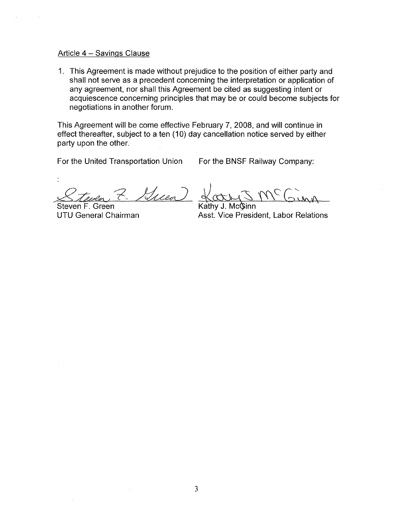#### Article 4 - Savings Clause

1. This Agreement is made without prejudice to the position of either party and shall not serve as a precedent concerning the interpretation or application of any agreement, nor shall this Agreement be cited as suggesting intent or acquiescence concerning principles that may be or could become subjects for negotiations in another forum.

This Agreement will be come effective February 7, 2008, and will continue in effect thereafter, subject to a ten (10) day cancellation notice served by either party upon the other.

For the United Transportation Union For the BNSF Railway Company:

 $\cancel{\leq}$ *teven*  $\mathcal{V}_{\mathcal{M}}$ ea

Steven F. Green

Kathy J. McGinn

UTU General Chairman Asst. Vice President, Labor Relations